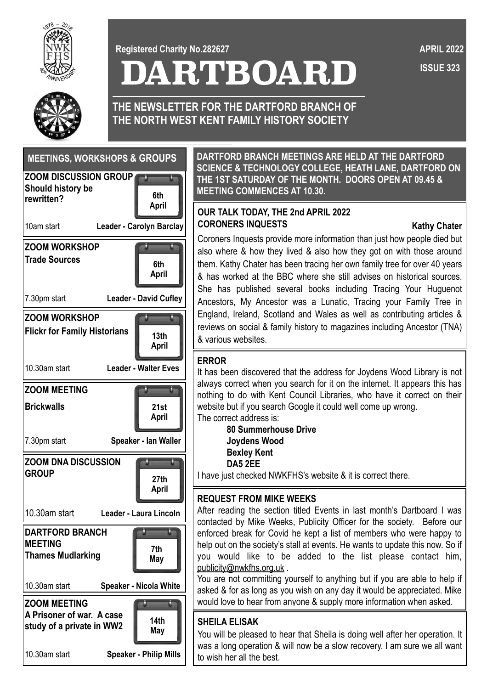

**DARTBOARD Registered Charity No.282627**

 **ISSUE 323 APRIL 2022**



**THE NEWSLETTER FOR THE DARTFORD BRANCH OF THE NORTH WEST KENT FAMILY HISTORY SOCIETY**

| <b>MEETINGS, WORKSHOPS &amp; GROUPS</b>                                       |                               |  |
|-------------------------------------------------------------------------------|-------------------------------|--|
| <b>ZOOM DISCUSSION GROUP</b><br><b>Should history be</b><br>rewritten?        | 6th<br>April                  |  |
| <b>Leader - Carolyn Barclay</b><br>10am start                                 |                               |  |
| <b>ZOOM WORKSHOP</b><br><b>Trade Sources</b>                                  | 6th<br>April                  |  |
| 7.30pm start                                                                  | <b>Leader - David Cufley</b>  |  |
| <b>ZOOM WORKSHOP</b><br><b>Flickr for Family Historians</b>                   | 13th<br><b>April</b>          |  |
| 10.30am start                                                                 | <b>Leader - Walter Eves</b>   |  |
| <b>ZOOM MEETING</b>                                                           |                               |  |
| <b>Brickwalls</b>                                                             | 21st<br>April                 |  |
| Speaker - Ian Waller<br>7.30pm start                                          |                               |  |
| <b>ZOOM DNA DISCUSSION</b><br><b>GROUP</b>                                    | 27th<br>April                 |  |
| 10.30am start                                                                 | Leader - Laura Lincoln        |  |
| <b>DARTFORD BRANCH</b><br><b>MEETING</b><br><b>Thames Mudlarking</b>          | 7th<br>May                    |  |
| 10.30am start                                                                 | <b>Speaker - Nicola White</b> |  |
| <b>ZOOM MEETING</b><br>A Prisoner of war. A case<br>study of a private in WW2 | 14th<br>May                   |  |
| 10.30am start                                                                 | <b>Speaker - Philip Mills</b> |  |

**DARTFORD BRANCH MEETINGS ARE HELD AT THE DARTFORD SCIENCE & TECHNOLOGY COLLEGE, HEATH LANE, DARTFORD ON THE 1ST SATURDAY OF THE MONTH. DOORS OPEN AT 09.45 & MEETING COMMENCES AT 10.30.**

### **April OUR TALK TODAY, THE 2nd APRIL 2022 CORONERS INQUESTS Kathy Chater**

Coroners Inquests provide more information than just how people died but also where & how they lived & also how they got on with those around them. Kathy Chater has been tracing her own family tree for over 40 years & has worked at the BBC where she still advises on historical sources. She has published several books including Tracing Your Huguenot Ancestors, My Ancestor was a Lunatic, Tracing your Family Tree in England, Ireland, Scotland and Wales as well as contributing articles & reviews on social & family history to magazines including Ancestor (TNA) & various websites.

#### **ERROR**

It has been discovered that the address for Joydens Wood Library is not always correct when you search for it on the internet. It appears this has nothing to do with Kent Council Libraries, who have it correct on their website but if you search Google it could well come up wrong. The correct address is:

**80 Summerhouse Drive Joydens Wood Bexley Kent DA5 2EE**

I have just checked NWKFHS's website & it is correct there.

# **REQUEST FROM MIKE WEEKS**

After reading the section titled Events in last month's Dartboard I was contacted by Mike Weeks, Publicity Officer for the society. Before our enforced break for Covid he kept a list of members who were happy to help out on the society's stall at events. He wants to update this now. So if you would like to be added to the list please contact him, [publicity@nwkfhs.org.uk](mailto:publicity@nwkfhs.org.uk).

You are not committing yourself to anything but if you are able to help if asked & for as long as you wish on any day it would be appreciated. Mike would love to hear from anyone & supply more information when asked.

# **SHEILA ELISAK**

You will be pleased to hear that Sheila is doing well after her operation. It was a long operation & will now be a slow recovery. I am sure we all want to wish her all the best.